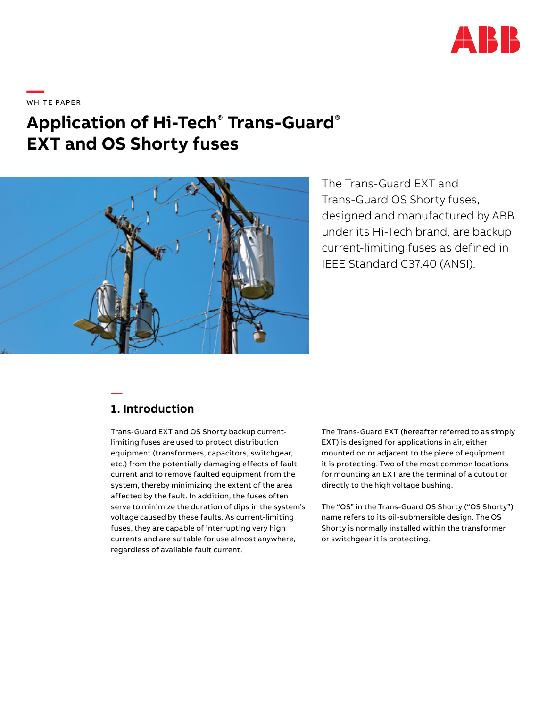

**—**  W H ITE PA PER

# **Application of Hi-Tech**®  **Trans-Guard**® **EXT and OS Shorty fuses**



The Trans-Guard EXT and Trans-Guard OS Shorty fuses, designed and manufactured by ABB under its Hi-Tech brand, are backup current-limiting fuses as defined in IEEE Standard C37.40 (ANSI).

### **1. Introduction**

**—**

Trans-Guard EXT and OS Shorty backup currentlimiting fuses are used to protect distribution equipment (transformers, capacitors, switchgear, etc.) from the potentially damaging effects of fault current and to remove faulted equipment from the system, thereby minimizing the extent of the area affected by the fault. In addition, the fuses often serve to minimize the duration of dips in the system's voltage caused by these faults. As current-limiting fuses, they are capable of interrupting very high currents and are suitable for use almost anywhere, regardless of available fault current.

The Trans-Guard EXT (hereafter referred to as simply EXT) is designed for applications in air, either mounted on or adjacent to the piece of equipment it is protecting. Two of the most common locations for mounting an EXT are the terminal of a cutout or directly to the high voltage bushing.

The "OS" in the Trans-Guard OS Shorty ("OS Shorty") name refers to its oil-submersible design. The OS Shorty is normally installed within the transformer or switchgear it is protecting.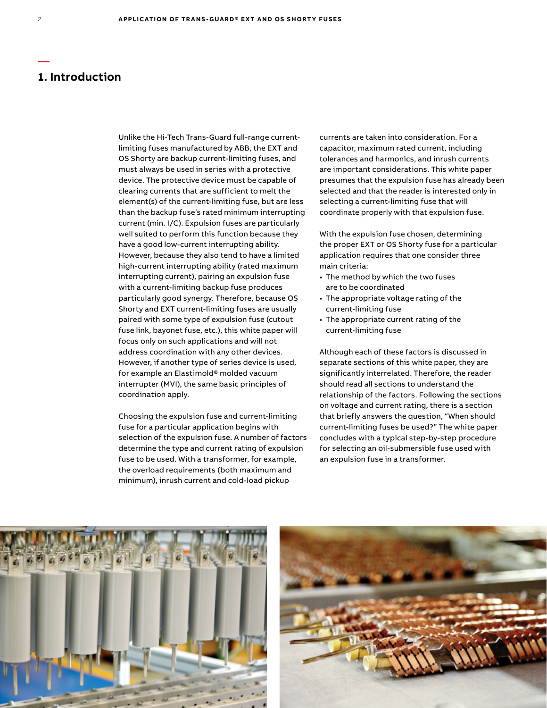### **1. Introduction**

Unlike the Hi-Tech Trans-Guard full-range currentlimiting fuses manufactured by ABB, the EXT and OS Shorty are backup current-limiting fuses, and must always be used in series with a protective device. The protective device must be capable of clearing currents that are sufficient to melt the element(s) of the current-limiting fuse, but are less than the backup fuse's rated minimum interrupting current (min. I/C). Expulsion fuses are particularly well suited to perform this function because they have a good low-current interrupting ability. However, because they also tend to have a limited high-current interrupting ability (rated maximum interrupting current), pairing an expulsion fuse with a current-limiting backup fuse produces particularly good synergy. Therefore, because OS Shorty and EXT current-limiting fuses are usually paired with some type of expulsion fuse (cutout fuse link, bayonet fuse, etc.), this white paper will focus only on such applications and will not address coordination with any other devices. However, if another type of series device is used, for example an Elastimold® molded vacuum interrupter (MVI), the same basic principles of coordination apply.

Choosing the expulsion fuse and current-limiting fuse for a particular application begins with selection of the expulsion fuse. A number of factors determine the type and current rating of expulsion fuse to be used. With a transformer, for example, the overload requirements (both maximum and minimum), inrush current and cold-load pickup

currents are taken into consideration. For a capacitor, maximum rated current, including tolerances and harmonics, and inrush currents are important considerations. This white paper presumes that the expulsion fuse has already been selected and that the reader is interested only in selecting a current-limiting fuse that will coordinate properly with that expulsion fuse.

With the expulsion fuse chosen, determining the proper EXT or OS Shorty fuse for a particular application requires that one consider three main criteria:

- The method by which the two fuses are to be coordinated
- The appropriate voltage rating of the current-limiting fuse
- The appropriate current rating of the current-limiting fuse

Although each of these factors is discussed in separate sections of this white paper, they are significantly interrelated. Therefore, the reader should read all sections to understand the relationship of the factors. Following the sections on voltage and current rating, there is a section that briefly answers the question, "When should current-limiting fuses be used?" The white paper concludes with a typical step-by-step procedure for selecting an oil-submersible fuse used with an expulsion fuse in a transformer.



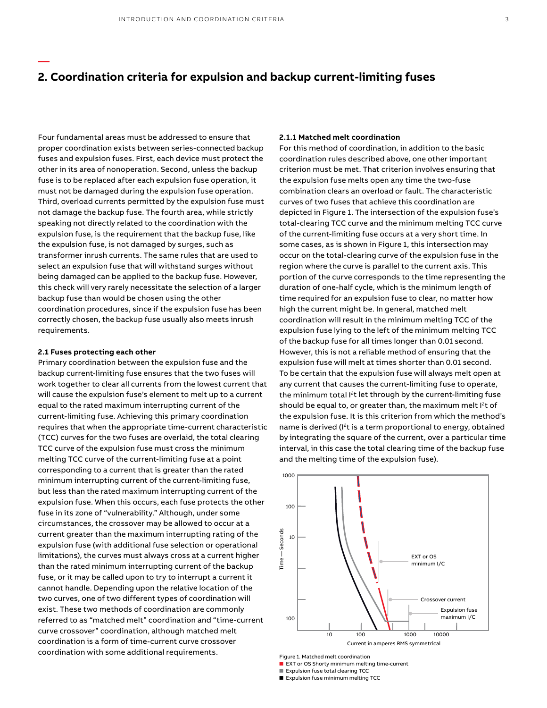Four fundamental areas must be addressed to ensure that proper coordination exists between series-connected backup fuses and expulsion fuses. First, each device must protect the other in its area of nonoperation. Second, unless the backup fuse is to be replaced after each expulsion fuse operation, it must not be damaged during the expulsion fuse operation. Third, overload currents permitted by the expulsion fuse must not damage the backup fuse. The fourth area, while strictly speaking not directly related to the coordination with the expulsion fuse, is the requirement that the backup fuse, like the expulsion fuse, is not damaged by surges, such as transformer inrush currents. The same rules that are used to select an expulsion fuse that will withstand surges without being damaged can be applied to the backup fuse. However, this check will very rarely necessitate the selection of a larger backup fuse than would be chosen using the other coordination procedures, since if the expulsion fuse has been correctly chosen, the backup fuse usually also meets inrush requirements.

#### **2.1 Fuses protecting each other**

**—**

Primary coordination between the expulsion fuse and the backup current-limiting fuse ensures that the two fuses will work together to clear all currents from the lowest current that will cause the expulsion fuse's element to melt up to a current equal to the rated maximum interrupting current of the current-limiting fuse. Achieving this primary coordination requires that when the appropriate time-current characteristic (TCC) curves for the two fuses are overlaid, the total clearing TCC curve of the expulsion fuse must cross the minimum melting TCC curve of the current-limiting fuse at a point corresponding to a current that is greater than the rated minimum interrupting current of the current-limiting fuse, but less than the rated maximum interrupting current of the expulsion fuse. When this occurs, each fuse protects the other fuse in its zone of "vulnerability." Although, under some circumstances, the crossover may be allowed to occur at a current greater than the maximum interrupting rating of the expulsion fuse (with additional fuse selection or operational limitations), the curves must always cross at a current higher than the rated minimum interrupting current of the backup fuse, or it may be called upon to try to interrupt a current it cannot handle. Depending upon the relative location of the two curves, one of two different types of coordination will exist. These two methods of coordination are commonly referred to as "matched melt" coordination and "time-current curve crossover" coordination, although matched melt coordination is a form of time-current curve crossover coordination with some additional requirements.

#### **2.1.1 Matched melt coordination**

For this method of coordination, in addition to the basic coordination rules described above, one other important criterion must be met. That criterion involves ensuring that the expulsion fuse melts open any time the two-fuse combination clears an overload or fault. The characteristic curves of two fuses that achieve this coordination are depicted in Figure 1. The intersection of the expulsion fuse's total-clearing TCC curve and the minimum melting TCC curve of the current-limiting fuse occurs at a very short time. In some cases, as is shown in Figure 1, this intersection may occur on the total-clearing curve of the expulsion fuse in the region where the curve is parallel to the current axis. This portion of the curve corresponds to the time representing the duration of one-half cycle, which is the minimum length of time required for an expulsion fuse to clear, no matter how high the current might be. In general, matched melt coordination will result in the minimum melting TCC of the expulsion fuse lying to the left of the minimum melting TCC of the backup fuse for all times longer than 0.01 second. However, this is not a reliable method of ensuring that the expulsion fuse will melt at times shorter than 0.01 second. To be certain that the expulsion fuse will always melt open at any current that causes the current-limiting fuse to operate, the minimum total I<sup>2</sup>t let through by the current-limiting fuse should be equal to, or greater than, the maximum melt  $l<sup>2</sup>$ t of the expulsion fuse. It is this criterion from which the method's name is derived (I<sup>2</sup>t is a term proportional to energy, obtained by integrating the square of the current, over a particular time interval, in this case the total clearing time of the backup fuse and the melting time of the expulsion fuse).



Figure 1. Matched melt coordination

- EXT or OS Shorty minimum melting time-current
- Expulsion fuse total clearing TCC ■ Expulsion fuse minimum melting TCC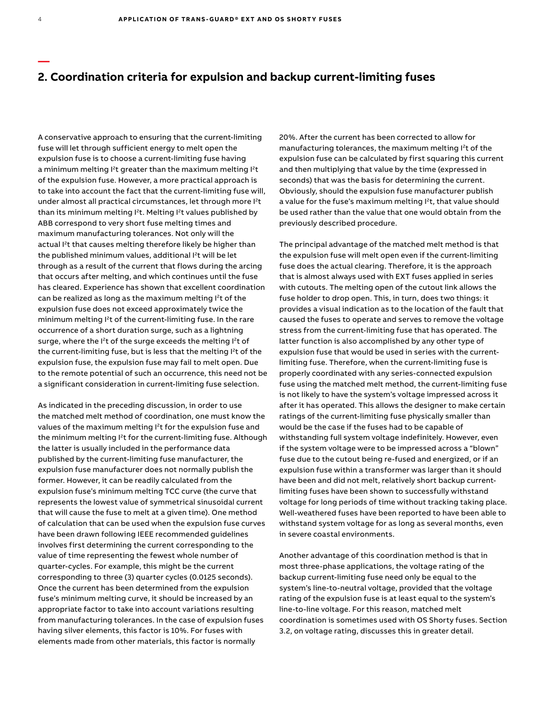A conservative approach to ensuring that the current-limiting fuse will let through sufficient energy to melt open the expulsion fuse is to choose a current-limiting fuse having a minimum melting I<sup>2</sup>t greater than the maximum melting I<sup>2</sup>t of the expulsion fuse. However, a more practical approach is to take into account the fact that the current-limiting fuse will, under almost all practical circumstances, let through more l<sup>2</sup>t than its minimum melting I<sup>2</sup>t. Melting I<sup>2</sup>t values published by ABB correspond to very short fuse melting times and maximum manufacturing tolerances. Not only will the actual I<sup>2</sup>t that causes melting therefore likely be higher than the published minimum values, additional I<sup>2</sup>t will be let through as a result of the current that flows during the arcing that occurs after melting, and which continues until the fuse has cleared. Experience has shown that excellent coordination can be realized as long as the maximum melting I<sup>2</sup>t of the expulsion fuse does not exceed approximately twice the minimum melting I<sup>2</sup>t of the current-limiting fuse. In the rare occurrence of a short duration surge, such as a lightning surge, where the I<sup>2</sup>t of the surge exceeds the melting I<sup>2</sup>t of the current-limiting fuse, but is less that the melting I<sup>2</sup>t of the expulsion fuse, the expulsion fuse may fail to melt open. Due to the remote potential of such an occurrence, this need not be a significant consideration in current-limiting fuse selection.

As indicated in the preceding discussion, in order to use the matched melt method of coordination, one must know the values of the maximum melting I<sup>2</sup>t for the expulsion fuse and the minimum melting I<sup>2</sup>t for the current-limiting fuse. Although the latter is usually included in the performance data published by the current-limiting fuse manufacturer, the expulsion fuse manufacturer does not normally publish the former. However, it can be readily calculated from the expulsion fuse's minimum melting TCC curve (the curve that represents the lowest value of symmetrical sinusoidal current that will cause the fuse to melt at a given time). One method of calculation that can be used when the expulsion fuse curves have been drawn following IEEE recommended guidelines involves first determining the current corresponding to the value of time representing the fewest whole number of quarter-cycles. For example, this might be the current corresponding to three (3) quarter cycles (0.0125 seconds). Once the current has been determined from the expulsion fuse's minimum melting curve, it should be increased by an appropriate factor to take into account variations resulting from manufacturing tolerances. In the case of expulsion fuses having silver elements, this factor is 10%. For fuses with elements made from other materials, this factor is normally

20%. After the current has been corrected to allow for manufacturing tolerances, the maximum melting I<sup>2</sup>t of the expulsion fuse can be calculated by first squaring this current and then multiplying that value by the time (expressed in seconds) that was the basis for determining the current. Obviously, should the expulsion fuse manufacturer publish a value for the fuse's maximum melting I<sup>2</sup>t, that value should be used rather than the value that one would obtain from the previously described procedure.

The principal advantage of the matched melt method is that the expulsion fuse will melt open even if the current-limiting fuse does the actual clearing. Therefore, it is the approach that is almost always used with EXT fuses applied in series with cutouts. The melting open of the cutout link allows the fuse holder to drop open. This, in turn, does two things: it provides a visual indication as to the location of the fault that caused the fuses to operate and serves to remove the voltage stress from the current-limiting fuse that has operated. The latter function is also accomplished by any other type of expulsion fuse that would be used in series with the currentlimiting fuse. Therefore, when the current-limiting fuse is properly coordinated with any series-connected expulsion fuse using the matched melt method, the current-limiting fuse is not likely to have the system's voltage impressed across it after it has operated. This allows the designer to make certain ratings of the current-limiting fuse physically smaller than would be the case if the fuses had to be capable of withstanding full system voltage indefinitely. However, even if the system voltage were to be impressed across a "blown" fuse due to the cutout being re-fused and energized, or if an expulsion fuse within a transformer was larger than it should have been and did not melt, relatively short backup currentlimiting fuses have been shown to successfully withstand voltage for long periods of time without tracking taking place. Well-weathered fuses have been reported to have been able to withstand system voltage for as long as several months, even in severe coastal environments.

Another advantage of this coordination method is that in most three-phase applications, the voltage rating of the backup current-limiting fuse need only be equal to the system's line-to-neutral voltage, provided that the voltage rating of the expulsion fuse is at least equal to the system's line-to-line voltage. For this reason, matched melt coordination is sometimes used with OS Shorty fuses. Section 3.2, on voltage rating, discusses this in greater detail.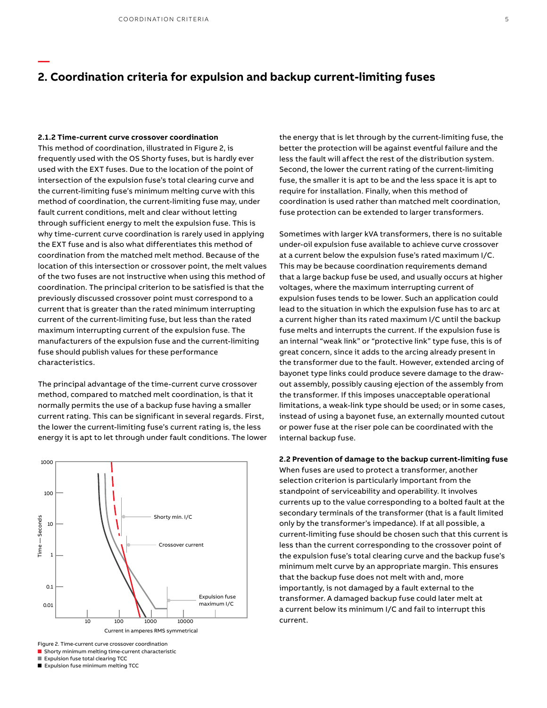#### **2.1.2 Time-current curve crossover coordination**

**—**

This method of coordination, illustrated in Figure 2, is frequently used with the OS Shorty fuses, but is hardly ever used with the EXT fuses. Due to the location of the point of intersection of the expulsion fuse's total clearing curve and the current-limiting fuse's minimum melting curve with this method of coordination, the current-limiting fuse may, under fault current conditions, melt and clear without letting through sufficient energy to melt the expulsion fuse. This is why time-current curve coordination is rarely used in applying the EXT fuse and is also what differentiates this method of coordination from the matched melt method. Because of the location of this intersection or crossover point, the melt values of the two fuses are not instructive when using this method of coordination. The principal criterion to be satisfied is that the previously discussed crossover point must correspond to a current that is greater than the rated minimum interrupting current of the current-limiting fuse, but less than the rated maximum interrupting current of the expulsion fuse. The manufacturers of the expulsion fuse and the current-limiting fuse should publish values for these performance characteristics.

The principal advantage of the time-current curve crossover method, compared to matched melt coordination, is that it normally permits the use of a backup fuse having a smaller current rating. This can be significant in several regards. First, the lower the current-limiting fuse's current rating is, the less energy it is apt to let through under fault conditions. The lower



Figure 2. Time-current curve crossover coordination

■ Shorty minimum melting time-current characteristic

■ Expulsion fuse total clearing TCC

■ Expulsion fuse minimum melting TCC

the energy that is let through by the current-limiting fuse, the better the protection will be against eventful failure and the less the fault will affect the rest of the distribution system. Second, the lower the current rating of the current-limiting fuse, the smaller it is apt to be and the less space it is apt to require for installation. Finally, when this method of coordination is used rather than matched melt coordination, fuse protection can be extended to larger transformers.

Sometimes with larger kVA transformers, there is no suitable under-oil expulsion fuse available to achieve curve crossover at a current below the expulsion fuse's rated maximum I/C. This may be because coordination requirements demand that a large backup fuse be used, and usually occurs at higher voltages, where the maximum interrupting current of expulsion fuses tends to be lower. Such an application could lead to the situation in which the expulsion fuse has to arc at a current higher than its rated maximum I/C until the backup fuse melts and interrupts the current. If the expulsion fuse is an internal "weak link" or "protective link" type fuse, this is of great concern, since it adds to the arcing already present in the transformer due to the fault. However, extended arcing of bayonet type links could produce severe damage to the drawout assembly, possibly causing ejection of the assembly from the transformer. If this imposes unacceptable operational limitations, a weak-link type should be used; or in some cases, instead of using a bayonet fuse, an externally mounted cutout or power fuse at the riser pole can be coordinated with the internal backup fuse.

### **2.2 Prevention of damage to the backup current-limiting fuse** When fuses are used to protect a transformer, another selection criterion is particularly important from the standpoint of serviceability and operability. It involves

currents up to the value corresponding to a bolted fault at the secondary terminals of the transformer (that is a fault limited only by the transformer's impedance). If at all possible, a current-limiting fuse should be chosen such that this current is less than the current corresponding to the crossover point of the expulsion fuse's total clearing curve and the backup fuse's minimum melt curve by an appropriate margin. This ensures that the backup fuse does not melt with and, more importantly, is not damaged by a fault external to the transformer. A damaged backup fuse could later melt at a current below its minimum I/C and fail to interrupt this current.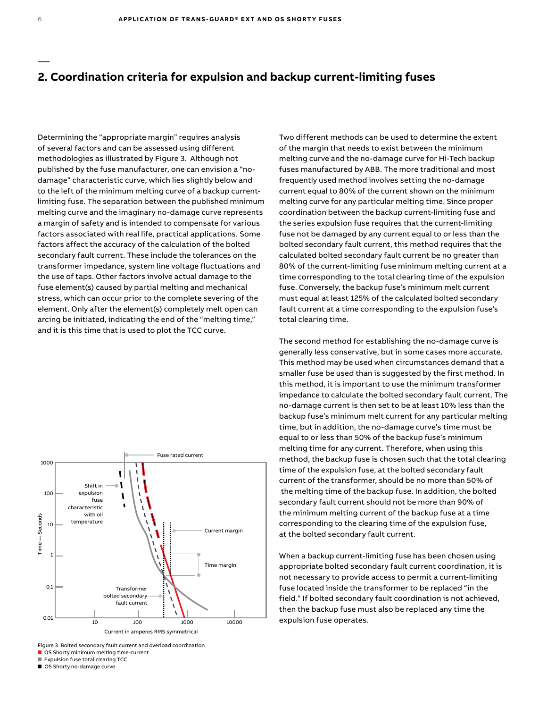Determining the "appropriate margin" requires analysis of several factors and can be assessed using different methodologies as illustrated by Figure 3. Although not published by the fuse manufacturer, one can envision a "nodamage" characteristic curve, which lies slightly below and to the left of the minimum melting curve of a backup currentlimiting fuse. The separation between the published minimum melting curve and the imaginary no-damage curve represents a margin of safety and is intended to compensate for various factors associated with real life, practical applications. Some factors affect the accuracy of the calculation of the bolted secondary fault current. These include the tolerances on the transformer impedance, system line voltage fluctuations and the use of taps. Other factors involve actual damage to the fuse element(s) caused by partial melting and mechanical stress, which can occur prior to the complete severing of the element. Only after the element(s) completely melt open can arcing be initiated, indicating the end of the "melting time," and it is this time that is used to plot the TCC curve.



Figure 3. Bolted secondary fault current and overload coordination

■ OS Shorty minimum melting time-current

■ Expulsion fuse total clearing TCC

■ OS Shorty no-damage curve

Two different methods can be used to determine the extent of the margin that needs to exist between the minimum melting curve and the no-damage curve for Hi-Tech backup fuses manufactured by ABB. The more traditional and most frequently used method involves setting the no-damage current equal to 80% of the current shown on the minimum melting curve for any particular melting time. Since proper coordination between the backup current-limiting fuse and the series expulsion fuse requires that the current-limiting fuse not be damaged by any current equal to or less than the bolted secondary fault current, this method requires that the calculated bolted secondary fault current be no greater than 80% of the current-limiting fuse minimum melting current at a time corresponding to the total clearing time of the expulsion fuse. Conversely, the backup fuse's minimum melt current must equal at least 125% of the calculated bolted secondary fault current at a time corresponding to the expulsion fuse's total clearing time.

The second method for establishing the no-damage curve is generally less conservative, but in some cases more accurate. This method may be used when circumstances demand that a smaller fuse be used than is suggested by the first method. In this method, it is important to use the minimum transformer impedance to calculate the bolted secondary fault current. The no-damage current is then set to be at least 10% less than the backup fuse's minimum melt current for any particular melting time, but in addition, the no-damage curve's time must be equal to or less than 50% of the backup fuse's minimum melting time for any current. Therefore, when using this method, the backup fuse is chosen such that the total clearing time of the expulsion fuse, at the bolted secondary fault current of the transformer, should be no more than 50% of the melting time of the backup fuse. In addition, the bolted secondary fault current should not be more than 90% of the minimum melting current of the backup fuse at a time corresponding to the clearing time of the expulsion fuse, at the bolted secondary fault current.

When a backup current-limiting fuse has been chosen using appropriate bolted secondary fault current coordination, it is not necessary to provide access to permit a current-limiting fuse located inside the transformer to be replaced "in the field." If bolted secondary fault coordination is not achieved, then the backup fuse must also be replaced any time the expulsion fuse operates.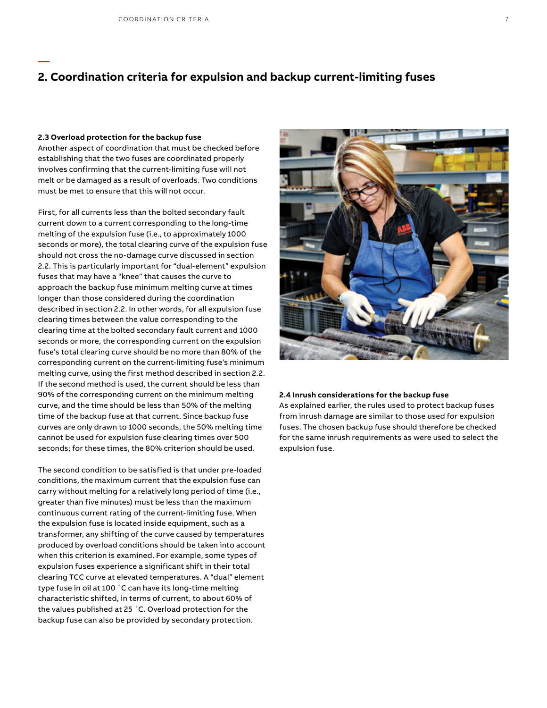#### **2.3 Overload protection for the backup fuse**

**—**

Another aspect of coordination that must be checked before establishing that the two fuses are coordinated properly involves confirming that the current-limiting fuse will not melt or be damaged as a result of overloads. Two conditions must be met to ensure that this will not occur.

First, for all currents less than the bolted secondary fault current down to a current corresponding to the long-time melting of the expulsion fuse (i.e., to approximately 1000 seconds or more), the total clearing curve of the expulsion fuse should not cross the no-damage curve discussed in section 2.2. This is particularly important for "dual-element" expulsion fuses that may have a "knee" that causes the curve to approach the backup fuse minimum melting curve at times longer than those considered during the coordination described in section 2.2. In other words, for all expulsion fuse clearing times between the value corresponding to the clearing time at the bolted secondary fault current and 1000 seconds or more, the corresponding current on the expulsion fuse's total clearing curve should be no more than 80% of the corresponding current on the current-limiting fuse's minimum melting curve, using the first method described in section 2.2. If the second method is used, the current should be less than 90% of the corresponding current on the minimum melting curve, and the time should be less than 50% of the melting time of the backup fuse at that current. Since backup fuse curves are only drawn to 1000 seconds, the 50% melting time cannot be used for expulsion fuse clearing times over 500 seconds; for these times, the 80% criterion should be used.

The second condition to be satisfied is that under pre-loaded conditions, the maximum current that the expulsion fuse can carry without melting for a relatively long period of time (i.e., greater than five minutes) must be less than the maximum continuous current rating of the current-limiting fuse. When the expulsion fuse is located inside equipment, such as a transformer, any shifting of the curve caused by temperatures produced by overload conditions should be taken into account when this criterion is examined. For example, some types of expulsion fuses experience a significant shift in their total clearing TCC curve at elevated temperatures. A "dual" element type fuse in oil at 100 ˚C can have its long-time melting characteristic shifted, in terms of current, to about 60% of the values published at 25 ˚C. Overload protection for the backup fuse can also be provided by secondary protection.



#### **2.4 Inrush considerations for the backup fuse**

As explained earlier, the rules used to protect backup fuses from inrush damage are similar to those used for expulsion fuses. The chosen backup fuse should therefore be checked for the same inrush requirements as were used to select the expulsion fuse.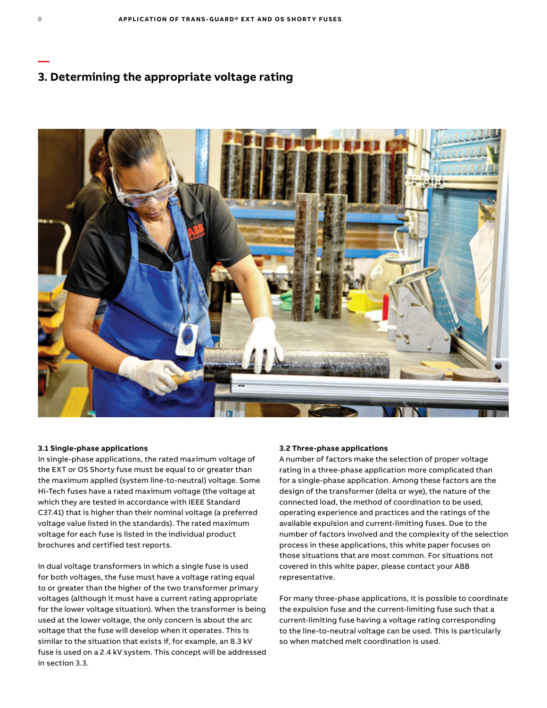# **3. Determining the appropriate voltage rating**



#### **3.1 Single-phase applications**

In single-phase applications, the rated maximum voltage of the EXT or OS Shorty fuse must be equal to or greater than the maximum applied (system line-to-neutral) voltage. Some Hi-Tech fuses have a rated maximum voltage (the voltage at which they are tested in accordance with IEEE Standard C37.41) that is higher than their nominal voltage (a preferred voltage value listed in the standards). The rated maximum voltage for each fuse is listed in the individual product brochures and certified test reports.

In dual voltage transformers in which a single fuse is used for both voltages, the fuse must have a voltage rating equal to or greater than the higher of the two transformer primary voltages (although it must have a current rating appropriate for the lower voltage situation). When the transformer is being used at the lower voltage, the only concern is about the arc voltage that the fuse will develop when it operates. This is similar to the situation that exists if, for example, an 8.3 kV fuse is used on a 2.4 kV system. This concept will be addressed in section 3.3.

#### **3.2 Three-phase applications**

A number of factors make the selection of proper voltage rating in a three-phase application more complicated than for a single-phase application. Among these factors are the design of the transformer (delta or wye), the nature of the connected load, the method of coordination to be used, operating experience and practices and the ratings of the available expulsion and current-limiting fuses. Due to the number of factors involved and the complexity of the selection process in these applications, this white paper focuses on those situations that are most common. For situations not covered in this white paper, please contact your ABB representative.

For many three-phase applications, it is possible to coordinate the expulsion fuse and the current-limiting fuse such that a current-limiting fuse having a voltage rating corresponding to the line-to-neutral voltage can be used. This is particularly so when matched melt coordination is used.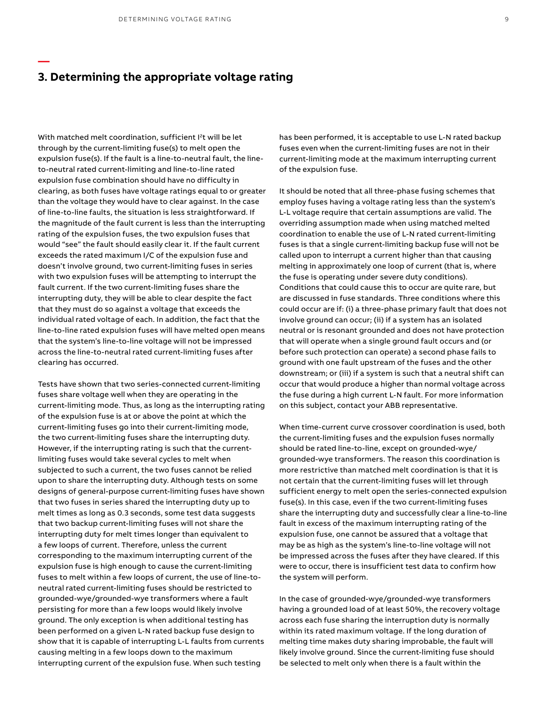# **3. Determining the appropriate voltage rating**

**—**

With matched melt coordination, sufficient I<sup>2</sup>t will be let through by the current-limiting fuse(s) to melt open the expulsion fuse(s). If the fault is a line-to-neutral fault, the lineto-neutral rated current-limiting and line-to-line rated expulsion fuse combination should have no difficulty in clearing, as both fuses have voltage ratings equal to or greater than the voltage they would have to clear against. In the case of line-to-line faults, the situation is less straightforward. If the magnitude of the fault current is less than the interrupting rating of the expulsion fuses, the two expulsion fuses that would "see" the fault should easily clear it. If the fault current exceeds the rated maximum I/C of the expulsion fuse and doesn't involve ground, two current-limiting fuses in series with two expulsion fuses will be attempting to interrupt the fault current. If the two current-limiting fuses share the interrupting duty, they will be able to clear despite the fact that they must do so against a voltage that exceeds the individual rated voltage of each. In addition, the fact that the line-to-line rated expulsion fuses will have melted open means that the system's line-to-line voltage will not be impressed across the line-to-neutral rated current-limiting fuses after clearing has occurred.

Tests have shown that two series-connected current-limiting fuses share voltage well when they are operating in the current-limiting mode. Thus, as long as the interrupting rating of the expulsion fuse is at or above the point at which the current-limiting fuses go into their current-limiting mode, the two current-limiting fuses share the interrupting duty. However, if the interrupting rating is such that the currentlimiting fuses would take several cycles to melt when subjected to such a current, the two fuses cannot be relied upon to share the interrupting duty. Although tests on some designs of general-purpose current-limiting fuses have shown that two fuses in series shared the interrupting duty up to melt times as long as 0.3 seconds, some test data suggests that two backup current-limiting fuses will not share the interrupting duty for melt times longer than equivalent to a few loops of current. Therefore, unless the current corresponding to the maximum interrupting current of the expulsion fuse is high enough to cause the current-limiting fuses to melt within a few loops of current, the use of line-toneutral rated current-limiting fuses should be restricted to grounded-wye/grounded-wye transformers where a fault persisting for more than a few loops would likely involve ground. The only exception is when additional testing has been performed on a given L-N rated backup fuse design to show that it is capable of interrupting L-L faults from currents causing melting in a few loops down to the maximum interrupting current of the expulsion fuse. When such testing

has been performed, it is acceptable to use L-N rated backup fuses even when the current-limiting fuses are not in their current-limiting mode at the maximum interrupting current of the expulsion fuse.

It should be noted that all three-phase fusing schemes that employ fuses having a voltage rating less than the system's L-L voltage require that certain assumptions are valid. The overriding assumption made when using matched melted coordination to enable the use of L-N rated current-limiting fuses is that a single current-limiting backup fuse will not be called upon to interrupt a current higher than that causing melting in approximately one loop of current (that is, where the fuse is operating under severe duty conditions). Conditions that could cause this to occur are quite rare, but are discussed in fuse standards. Three conditions where this could occur are if: (i) a three-phase primary fault that does not involve ground can occur; (ii) if a system has an isolated neutral or is resonant grounded and does not have protection that will operate when a single ground fault occurs and (or before such protection can operate) a second phase fails to ground with one fault upstream of the fuses and the other downstream; or (iii) if a system is such that a neutral shift can occur that would produce a higher than normal voltage across the fuse during a high current L-N fault. For more information on this subject, contact your ABB representative.

When time-current curve crossover coordination is used, both the current-limiting fuses and the expulsion fuses normally should be rated line-to-line, except on grounded-wye/ grounded-wye transformers. The reason this coordination is more restrictive than matched melt coordination is that it is not certain that the current-limiting fuses will let through sufficient energy to melt open the series-connected expulsion fuse(s). In this case, even if the two current-limiting fuses share the interrupting duty and successfully clear a line-to-line fault in excess of the maximum interrupting rating of the expulsion fuse, one cannot be assured that a voltage that may be as high as the system's line-to-line voltage will not be impressed across the fuses after they have cleared. If this were to occur, there is insufficient test data to confirm how the system will perform.

In the case of grounded-wye/grounded-wye transformers having a grounded load of at least 50%, the recovery voltage across each fuse sharing the interruption duty is normally within its rated maximum voltage. If the long duration of melting time makes duty sharing improbable, the fault will likely involve ground. Since the current-limiting fuse should be selected to melt only when there is a fault within the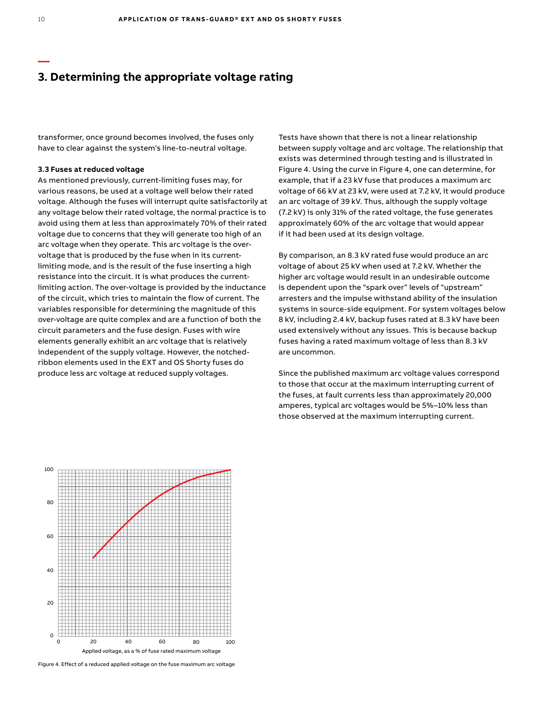# **3. Determining the appropriate voltage rating**

transformer, once ground becomes involved, the fuses only have to clear against the system's line-to-neutral voltage.

#### **3.3 Fuses at reduced voltage**

As mentioned previously, current-limiting fuses may, for various reasons, be used at a voltage well below their rated voltage. Although the fuses will interrupt quite satisfactorily at any voltage below their rated voltage, the normal practice is to avoid using them at less than approximately 70% of their rated voltage due to concerns that they will generate too high of an arc voltage when they operate. This arc voltage is the overvoltage that is produced by the fuse when in its currentlimiting mode, and is the result of the fuse inserting a high resistance into the circuit. It is what produces the currentlimiting action. The over-voltage is provided by the inductance of the circuit, which tries to maintain the flow of current. The variables responsible for determining the magnitude of this over-voltage are quite complex and are a function of both the circuit parameters and the fuse design. Fuses with wire elements generally exhibit an arc voltage that is relatively independent of the supply voltage. However, the notchedribbon elements used in the EXT and OS Shorty fuses do produce less arc voltage at reduced supply voltages.

Tests have shown that there is not a linear relationship between supply voltage and arc voltage. The relationship that exists was determined through testing and is illustrated in Figure 4. Using the curve in Figure 4, one can determine, for example, that if a 23 kV fuse that produces a maximum arc voltage of 66 kV at 23 kV, were used at 7.2 kV, it would produce an arc voltage of 39 kV. Thus, although the supply voltage (7.2 kV) is only 31% of the rated voltage, the fuse generates approximately 60% of the arc voltage that would appear if it had been used at its design voltage.

By comparison, an 8.3 kV rated fuse would produce an arc voltage of about 25 kV when used at 7.2 kV. Whether the higher arc voltage would result in an undesirable outcome is dependent upon the "spark over" levels of "upstream" arresters and the impulse withstand ability of the insulation systems in source-side equipment. For system voltages below 8 kV, including 2.4 kV, backup fuses rated at 8.3 kV have been used extensively without any issues. This is because backup fuses having a rated maximum voltage of less than 8.3 kV are uncommon.

Since the published maximum arc voltage values correspond to those that occur at the maximum interrupting current of the fuses, at fault currents less than approximately 20,000 amperes, typical arc voltages would be 5%–10% less than those observed at the maximum interrupting current.



Figure 4. Effect of a reduced applied voltage on the fuse maximum arc voltage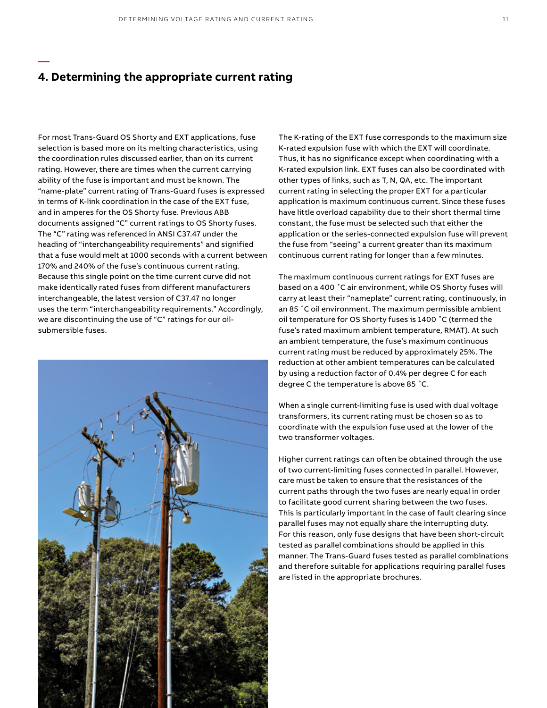### **4. Determining the appropriate current rating**

**—**

For most Trans-Guard OS Shorty and EXT applications, fuse selection is based more on its melting characteristics, using the coordination rules discussed earlier, than on its current rating. However, there are times when the current carrying ability of the fuse is important and must be known. The "name-plate" current rating of Trans-Guard fuses is expressed in terms of K-link coordination in the case of the EXT fuse, and in amperes for the OS Shorty fuse. Previous ABB documents assigned "C" current ratings to OS Shorty fuses. The "C" rating was referenced in ANSI C37.47 under the heading of "interchangeability requirements" and signified that a fuse would melt at 1000 seconds with a current between 170% and 240% of the fuse's continuous current rating. Because this single point on the time current curve did not make identically rated fuses from different manufacturers interchangeable, the latest version of C37.47 no longer uses the term "interchangeability requirements." Accordingly, we are discontinuing the use of "C" ratings for our oilsubmersible fuses.



The K-rating of the EXT fuse corresponds to the maximum size K-rated expulsion fuse with which the EXT will coordinate. Thus, it has no significance except when coordinating with a K-rated expulsion link. EXT fuses can also be coordinated with other types of links, such as T, N, QA, etc. The important current rating in selecting the proper EXT for a particular application is maximum continuous current. Since these fuses have little overload capability due to their short thermal time constant, the fuse must be selected such that either the application or the series-connected expulsion fuse will prevent the fuse from "seeing" a current greater than its maximum continuous current rating for longer than a few minutes.

The maximum continuous current ratings for EXT fuses are based on a 400 ˚C air environment, while OS Shorty fuses will carry at least their "nameplate" current rating, continuously, in an 85 ˚C oil environment. The maximum permissible ambient oil temperature for OS Shorty fuses is 1400 ˚C (termed the fuse's rated maximum ambient temperature, RMAT). At such an ambient temperature, the fuse's maximum continuous current rating must be reduced by approximately 25%. The reduction at other ambient temperatures can be calculated by using a reduction factor of 0.4% per degree C for each degree C the temperature is above 85 ˚C.

When a single current-limiting fuse is used with dual voltage transformers, its current rating must be chosen so as to coordinate with the expulsion fuse used at the lower of the two transformer voltages.

Higher current ratings can often be obtained through the use of two current-limiting fuses connected in parallel. However, care must be taken to ensure that the resistances of the current paths through the two fuses are nearly equal in order to facilitate good current sharing between the two fuses. This is particularly important in the case of fault clearing since parallel fuses may not equally share the interrupting duty. For this reason, only fuse designs that have been short-circuit tested as parallel combinations should be applied in this manner. The Trans-Guard fuses tested as parallel combinations and therefore suitable for applications requiring parallel fuses are listed in the appropriate brochures.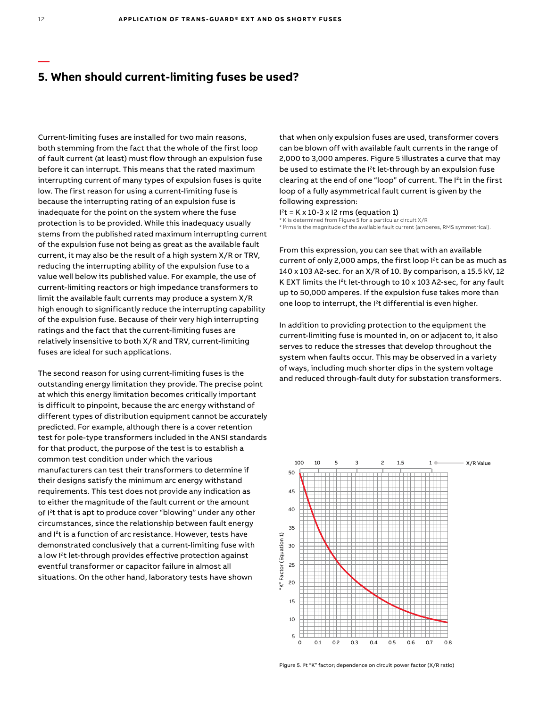## **5. When should current-limiting fuses be used?**

Current-limiting fuses are installed for two main reasons, both stemming from the fact that the whole of the first loop of fault current (at least) must flow through an expulsion fuse before it can interrupt. This means that the rated maximum interrupting current of many types of expulsion fuses is quite low. The first reason for using a current-limiting fuse is because the interrupting rating of an expulsion fuse is inadequate for the point on the system where the fuse protection is to be provided. While this inadequacy usually stems from the published rated maximum interrupting current of the expulsion fuse not being as great as the available fault current, it may also be the result of a high system X/R or TRV, reducing the interrupting ability of the expulsion fuse to a value well below its published value. For example, the use of current-limiting reactors or high impedance transformers to limit the available fault currents may produce a system X/R high enough to significantly reduce the interrupting capability of the expulsion fuse. Because of their very high interrupting ratings and the fact that the current-limiting fuses are relatively insensitive to both X/R and TRV, current-limiting fuses are ideal for such applications.

The second reason for using current-limiting fuses is the outstanding energy limitation they provide. The precise point at which this energy limitation becomes critically important is difficult to pinpoint, because the arc energy withstand of different types of distribution equipment cannot be accurately predicted. For example, although there is a cover retention test for pole-type transformers included in the ANSI standards for that product, the purpose of the test is to establish a common test condition under which the various manufacturers can test their transformers to determine if their designs satisfy the minimum arc energy withstand requirements. This test does not provide any indication as to either the magnitude of the fault current or the amount of I<sup>2</sup>t that is apt to produce cover "blowing" under any other circumstances, since the relationship between fault energy and I<sup>2</sup>t is a function of arc resistance. However, tests have demonstrated conclusively that a current-limiting fuse with a low I<sup>2</sup>t let-through provides effective protection against eventful transformer or capacitor failure in almost all situations. On the other hand, laboratory tests have shown

that when only expulsion fuses are used, transformer covers can be blown off with available fault currents in the range of 2,000 to 3,000 amperes. Figure 5 illustrates a curve that may be used to estimate the I<sup>2</sup>t let-through by an expulsion fuse clearing at the end of one "loop" of current. The I<sup>2</sup>t in the first loop of a fully asymmetrical fault current is given by the following expression:

 $I<sup>2</sup>t$  = K x 10-3 x I2 rms (equation 1)

\* K is determined from Figure 5 for a particular circuit X/R \* I?rms is the magnitude of the available fault current (amperes, RMS symmetrical).

From this expression, you can see that with an available current of only 2,000 amps, the first loop I<sup>2</sup>t can be as much as 140 x 103 A2-sec. for an X/R of 10. By comparison, a 15.5 kV, 12 K EXT limits the  $I<sup>2</sup>$ t let-through to 10 x 103 A2-sec, for any fault up to 50,000 amperes. If the expulsion fuse takes more than one loop to interrupt, the I2t differential is even higher.

In addition to providing protection to the equipment the current-limiting fuse is mounted in, on or adjacent to, it also serves to reduce the stresses that develop throughout the system when faults occur. This may be observed in a variety of ways, including much shorter dips in the system voltage and reduced through-fault duty for substation transformers.



**—**

Figure 5. I<sup>2</sup>t "K" factor; dependence on circuit power factor (X/R ratio)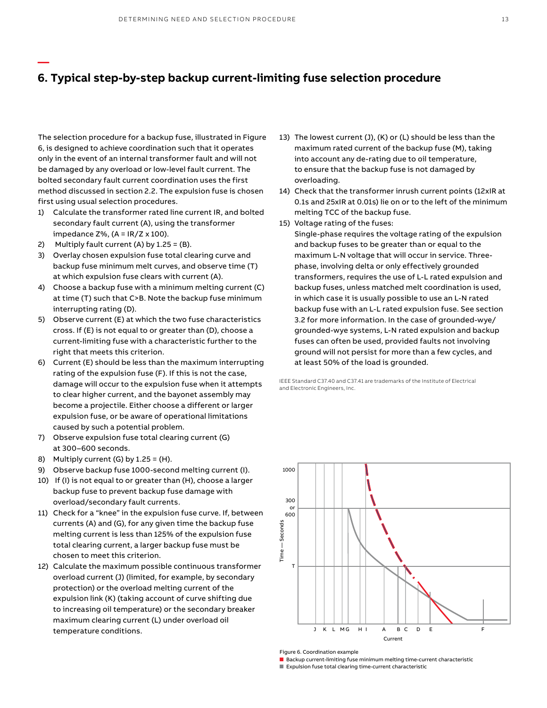# **6. Typical step-by-step backup current-limiting fuse selection procedure**

The selection procedure for a backup fuse, illustrated in Figure 6, is designed to achieve coordination such that it operates only in the event of an internal transformer fault and will not be damaged by any overload or low-level fault current. The bolted secondary fault current coordination uses the first method discussed in section 2.2. The expulsion fuse is chosen first using usual selection procedures.

- 1) Calculate the transformer rated line current IR, and bolted secondary fault current (A), using the transformer impedance  $Z\%$ , (A = IR/Z x 100).
- 2) Multiply fault current (A) by 1.25 = (B).

**—**

- 3) Overlay chosen expulsion fuse total clearing curve and backup fuse minimum melt curves, and observe time (T) at which expulsion fuse clears with current (A).
- 4) Choose a backup fuse with a minimum melting current (C) at time (T) such that C>B. Note the backup fuse minimum interrupting rating (D).
- 5) Observe current (E) at which the two fuse characteristics cross. If (E) is not equal to or greater than (D), choose a current-limiting fuse with a characteristic further to the right that meets this criterion.
- 6) Current (E) should be less than the maximum interrupting rating of the expulsion fuse (F). If this is not the case, damage will occur to the expulsion fuse when it attempts to clear higher current, and the bayonet assembly may become a projectile. Either choose a different or larger expulsion fuse, or be aware of operational limitations caused by such a potential problem.
- 7) Observe expulsion fuse total clearing current (G) at 300–600 seconds.
- 8) Multiply current  $(G)$  by  $1.25 = (H)$ .
- 9) Observe backup fuse 1000-second melting current (I).
- 10) If (I) is not equal to or greater than (H), choose a larger backup fuse to prevent backup fuse damage with overload/secondary fault currents.
- 11) Check for a "knee" in the expulsion fuse curve. If, between currents (A) and (G), for any given time the backup fuse melting current is less than 125% of the expulsion fuse total clearing current, a larger backup fuse must be chosen to meet this criterion.
- 12) Calculate the maximum possible continuous transformer overload current (J) (limited, for example, by secondary protection) or the overload melting current of the expulsion link (K) (taking account of curve shifting due to increasing oil temperature) or the secondary breaker maximum clearing current (L) under overload oil temperature conditions.
- 13) The lowest current (J), (K) or (L) should be less than the maximum rated current of the backup fuse (M), taking into account any de-rating due to oil temperature, to ensure that the backup fuse is not damaged by overloading.
- 14) Check that the transformer inrush current points (12xIR at 0.1s and 25xIR at 0.01s) lie on or to the left of the minimum melting TCC of the backup fuse.
- 15) Voltage rating of the fuses:

Single-phase requires the voltage rating of the expulsion and backup fuses to be greater than or equal to the maximum L-N voltage that will occur in service. Threephase, involving delta or only effectively grounded transformers, requires the use of L-L rated expulsion and backup fuses, unless matched melt coordination is used, in which case it is usually possible to use an L-N rated backup fuse with an L-L rated expulsion fuse. See section 3.2 for more information. In the case of grounded-wye/ grounded-wye systems, L-N rated expulsion and backup fuses can often be used, provided faults not involving ground will not persist for more than a few cycles, and at least 50% of the load is grounded.

IEEE Standard C37.40 and C37.41 are trademarks of the Institute of Electrical and Electronic Engineers, Inc.



Figure 6. Coordination example

■ Backup current-limiting fuse minimum melting time-current characteristic

■ Expulsion fuse total clearing time-current characteristic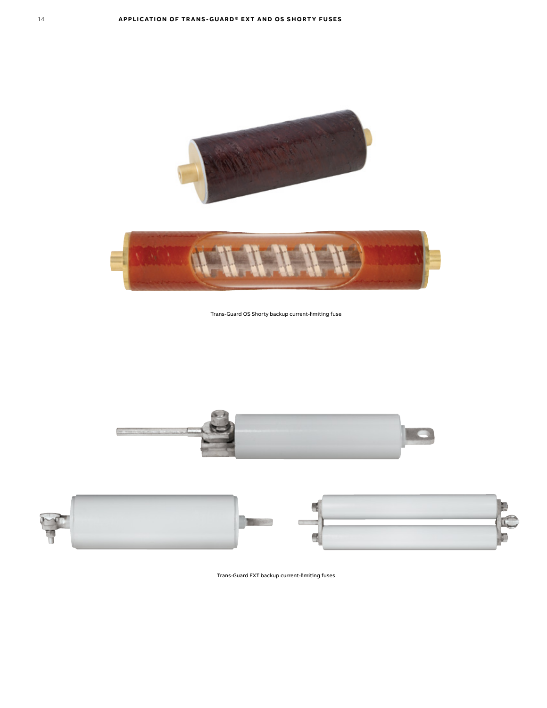



Trans-Guard OS Shorty backup current-limiting fuse





Trans-Guard EXT backup current-limiting fuses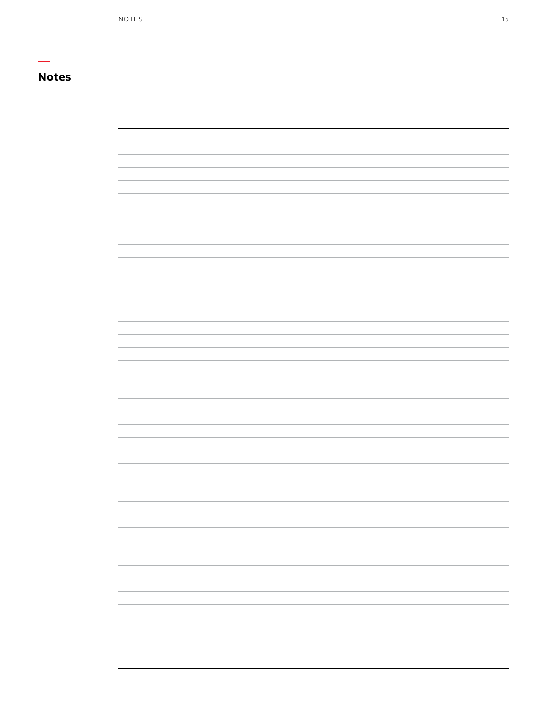# **Notes**